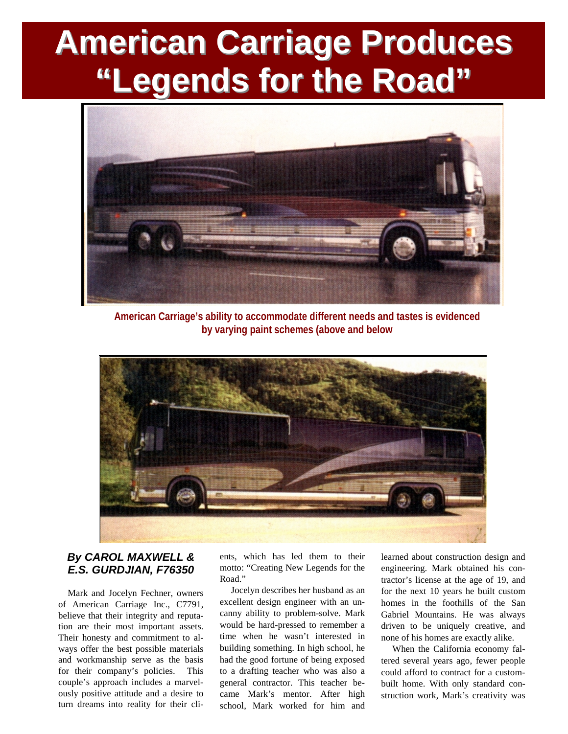## **American Carriage Produces "Legends for the Road"**



**American Carriage's ability to accommodate different needs and tastes is evidenced by varying paint schemes (above and below**



## *By CAROL MAXWELL & E.S. GURDJIAN, F76350*

Mark and Jocelyn Fechner, owners of American Carriage Inc., C7791, believe that their integrity and reputation are their most important assets. Their honesty and commitment to always offer the best possible materials and workmanship serve as the basis for their company's policies. This couple's approach includes a marvelously positive attitude and a desire to turn dreams into reality for their clients, which has led them to their motto: "Creating New Legends for the Road."

Jocelyn describes her husband as an excellent design engineer with an uncanny ability to problem-solve. Mark would be hard-pressed to remember a time when he wasn't interested in building something. In high school, he had the good fortune of being exposed to a drafting teacher who was also a general contractor. This teacher became Mark's mentor. After high school, Mark worked for him and

learned about construction design and engineering. Mark obtained his contractor's license at the age of 19, and for the next 10 years he built custom homes in the foothills of the San Gabriel Mountains. He was always driven to be uniquely creative, and none of his homes are exactly alike.

When the California economy faltered several years ago, fewer people could afford to contract for a custombuilt home. With only standard construction work, Mark's creativity was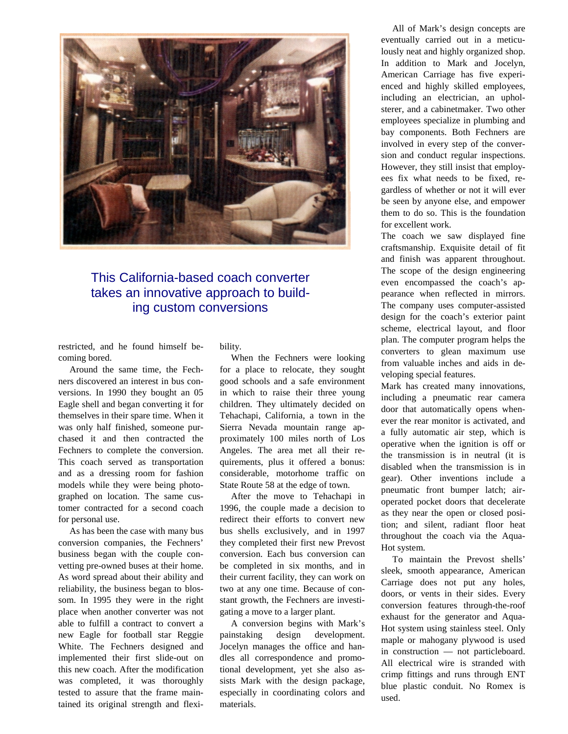

## This California-based coach converter takes an innovative approach to building custom conversions

restricted, and he found himself becoming bored.

Around the same time, the Fechners discovered an interest in bus conversions. In 1990 they bought an 05 Eagle shell and began converting it for themselves in their spare time. When it was only half finished, someone purchased it and then contracted the Fechners to complete the conversion. This coach served as transportation and as a dressing room for fashion models while they were being photographed on location. The same customer contracted for a second coach for personal use.

As has been the case with many bus conversion companies, the Fechners' business began with the couple convetting pre-owned buses at their home. As word spread about their ability and reliability, the business began to blossom. In 1995 they were in the right place when another converter was not able to fulfill a contract to convert a new Eagle for football star Reggie White. The Fechners designed and implemented their first slide-out on this new coach. After the modification was completed, it was thoroughly tested to assure that the frame maintained its original strength and flexibility.

When the Fechners were looking for a place to relocate, they sought good schools and a safe environment in which to raise their three young children. They ultimately decided on Tehachapi, California, a town in the Sierra Nevada mountain range approximately 100 miles north of Los Angeles. The area met all their requirements, plus it offered a bonus: considerable, motorhome traffic on State Route 58 at the edge of town.

After the move to Tehachapi in 1996, the couple made a decision to redirect their efforts to convert new bus shells exclusively, and in 1997 they completed their first new Prevost conversion. Each bus conversion can be completed in six months, and in their current facility, they can work on two at any one time. Because of constant growth, the Fechners are investigating a move to a larger plant.

A conversion begins with Mark's painstaking design development. Jocelyn manages the office and handles all correspondence and promotional development, yet she also assists Mark with the design package, especially in coordinating colors and materials.

All of Mark's design concepts are eventually carried out in a meticulously neat and highly organized shop. In addition to Mark and Jocelyn, American Carriage has five experienced and highly skilled employees, including an electrician, an upholsterer, and a cabinetmaker. Two other employees specialize in plumbing and bay components. Both Fechners are involved in every step of the conversion and conduct regular inspections. However, they still insist that employees fix what needs to be fixed, regardless of whether or not it will ever be seen by anyone else, and empower them to do so. This is the foundation for excellent work.

The coach we saw displayed fine craftsmanship. Exquisite detail of fit and finish was apparent throughout. The scope of the design engineering even encompassed the coach's appearance when reflected in mirrors. The company uses computer-assisted design for the coach's exterior paint scheme, electrical layout, and floor plan. The computer program helps the converters to glean maximum use from valuable inches and aids in developing special features.

Mark has created many innovations, including a pneumatic rear camera door that automatically opens whenever the rear monitor is activated, and a fully automatic air step, which is operative when the ignition is off or the transmission is in neutral (it is disabled when the transmission is in gear). Other inventions include a pneumatic front bumper latch; airoperated pocket doors that decelerate as they near the open or closed position; and silent, radiant floor heat throughout the coach via the Aqua-Hot system.

To maintain the Prevost shells' sleek, smooth appearance, American Carriage does not put any holes, doors, or vents in their sides. Every conversion features through-the-roof exhaust for the generator and Aqua-Hot system using stainless steel. Only maple or mahogany plywood is used in construction — not particleboard. All electrical wire is stranded with crimp fittings and runs through ENT blue plastic conduit. No Romex is used.